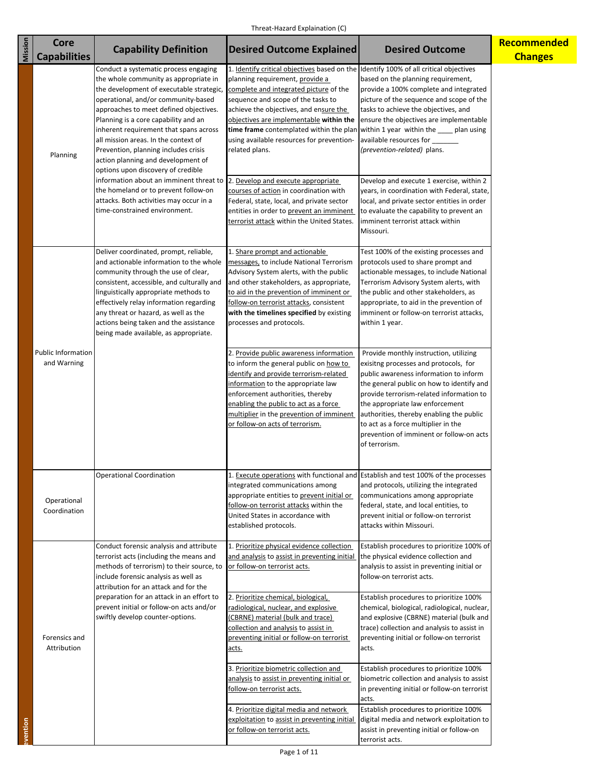| Mission  | Core                                     | <b>Capability Definition</b>                                                                                                                                                                                                                                                                                                                                                                                                                                                                                                                                                   | <b>Desired Outcome Explained</b>                                                                                                                                                                                                                                                                                                                                                                       | <b>Desired Outcome</b>                                                                                                                                                                                                                                                                                                                                                                                     | <b>Recommended</b> |
|----------|------------------------------------------|--------------------------------------------------------------------------------------------------------------------------------------------------------------------------------------------------------------------------------------------------------------------------------------------------------------------------------------------------------------------------------------------------------------------------------------------------------------------------------------------------------------------------------------------------------------------------------|--------------------------------------------------------------------------------------------------------------------------------------------------------------------------------------------------------------------------------------------------------------------------------------------------------------------------------------------------------------------------------------------------------|------------------------------------------------------------------------------------------------------------------------------------------------------------------------------------------------------------------------------------------------------------------------------------------------------------------------------------------------------------------------------------------------------------|--------------------|
|          | <b>Capabilities</b>                      |                                                                                                                                                                                                                                                                                                                                                                                                                                                                                                                                                                                |                                                                                                                                                                                                                                                                                                                                                                                                        |                                                                                                                                                                                                                                                                                                                                                                                                            | <b>Changes</b>     |
|          | Planning                                 | Conduct a systematic process engaging<br>the whole community as appropriate in<br>the development of executable strategic, complete and integrated picture of the<br>operational, and/or community-based<br>approaches to meet defined objectives.<br>Planning is a core capability and an<br>inherent requirement that spans across<br>all mission areas. In the context of<br>Prevention, planning includes crisis<br>action planning and development of<br>options upon discovery of credible<br>information about an imminent threat to 2. Develop and execute appropriate | 1. Identify critical objectives based on the Identify 100% of all critical objectives<br>planning requirement, provide a<br>sequence and scope of the tasks to<br>achieve the objectives, and ensure the<br>objectives are implementable within the<br>time frame contemplated within the plan within 1 year within the ____ plan using<br>using available resources for prevention-<br>related plans. | based on the planning requirement,<br>provide a 100% complete and integrated<br>picture of the sequence and scope of the<br>tasks to achieve the objectives, and<br>ensure the objectives are implementable<br>available resources for _____<br>(prevention-related) plans.<br>Develop and execute 1 exercise, within 2                                                                                    |                    |
|          |                                          | the homeland or to prevent follow-on<br>attacks. Both activities may occur in a<br>time-constrained environment.                                                                                                                                                                                                                                                                                                                                                                                                                                                               | courses of action in coordination with<br>Federal, state, local, and private sector<br>entities in order to prevent an imminent<br>terrorist attack within the United States.                                                                                                                                                                                                                          | years, in coordination with Federal, state,<br>local, and private sector entities in order<br>to evaluate the capability to prevent an<br>imminent terrorist attack within<br>Missouri.                                                                                                                                                                                                                    |                    |
|          |                                          | Deliver coordinated, prompt, reliable,<br>and actionable information to the whole<br>community through the use of clear,<br>consistent, accessible, and culturally and<br>linguistically appropriate methods to<br>effectively relay information regarding<br>any threat or hazard, as well as the<br>actions being taken and the assistance<br>being made available, as appropriate.                                                                                                                                                                                          | 1. Share prompt and actionable<br>messages, to include National Terrorism<br>Advisory System alerts, with the public<br>and other stakeholders, as appropriate,<br>to aid in the prevention of imminent or<br>follow-on terrorist attacks, consistent<br>with the timelines specified by existing<br>processes and protocols.                                                                          | Test 100% of the existing processes and<br>protocols used to share prompt and<br>actionable messages, to include National<br>Terrorism Advisory System alerts, with<br>the public and other stakeholders, as<br>appropriate, to aid in the prevention of<br>imminent or follow-on terrorist attacks,<br>within 1 year.                                                                                     |                    |
|          | <b>Public Information</b><br>and Warning | 2. Provide public awareness information<br>to inform the general public on how to<br>identify and provide terrorism-related<br>information to the appropriate law<br>enforcement authorities, thereby<br>enabling the public to act as a force<br>multiplier in the prevention of imminent<br>or follow-on acts of terrorism.                                                                                                                                                                                                                                                  | Provide monthly instruction, utilizing<br>exisitng processes and protocols, for<br>public awareness information to inform<br>the general public on how to identify and<br>provide terrorism-related information to<br>the appropriate law enforcement<br>authorities, thereby enabling the public<br>to act as a force multiplier in the<br>prevention of imminent or follow-on acts<br>of terrorism.  |                                                                                                                                                                                                                                                                                                                                                                                                            |                    |
|          | Operational<br>Coordination              | <b>Operational Coordination</b>                                                                                                                                                                                                                                                                                                                                                                                                                                                                                                                                                | integrated communications among<br>appropriate entities to prevent initial or<br>follow-on terrorist attacks within the<br>United States in accordance with<br>established protocols.                                                                                                                                                                                                                  | Execute operations with functional and Establish and test 100% of the processes<br>and protocols, utilizing the integrated<br>communications among appropriate<br>federal, state, and local entities, to<br>prevent initial or follow-on terrorist<br>attacks within Missouri.                                                                                                                             |                    |
|          | Forensics and<br>Attribution             | Conduct forensic analysis and attribute<br>terrorist acts (including the means and<br>methods of terrorism) to their source, to<br>include forensic analysis as well as<br>attribution for an attack and for the<br>preparation for an attack in an effort to<br>prevent initial or follow-on acts and/or<br>swiftly develop counter-options.                                                                                                                                                                                                                                  | 1. Prioritize physical evidence collection<br>and analysis to assist in preventing initial<br>or follow-on terrorist acts.<br>2. Prioritize chemical, biological,<br>radiological, nuclear, and explosive<br>(CBRNE) material (bulk and trace)<br>collection and analysis to assist in<br>preventing initial or follow-on terrorist<br>acts.                                                           | Establish procedures to prioritize 100% of<br>the physical evidence collection and<br>analysis to assist in preventing initial or<br>follow-on terrorist acts.<br>Establish procedures to prioritize 100%<br>chemical, biological, radiological, nuclear,<br>and explosive (CBRNE) material (bulk and<br>trace) collection and analysis to assist in<br>preventing initial or follow-on terrorist<br>acts. |                    |
| evention |                                          |                                                                                                                                                                                                                                                                                                                                                                                                                                                                                                                                                                                | 3. Prioritize biometric collection and<br>analysis to assist in preventing initial or<br>follow-on terrorist acts.<br>4. Prioritize digital media and network<br>exploitation to assist in preventing initial<br>or follow-on terrorist acts.                                                                                                                                                          | Establish procedures to prioritize 100%<br>biometric collection and analysis to assist<br>in preventing initial or follow-on terrorist<br>acts.<br>Establish procedures to prioritize 100%<br>digital media and network exploitation to<br>assist in preventing initial or follow-on<br>terrorist acts.                                                                                                    |                    |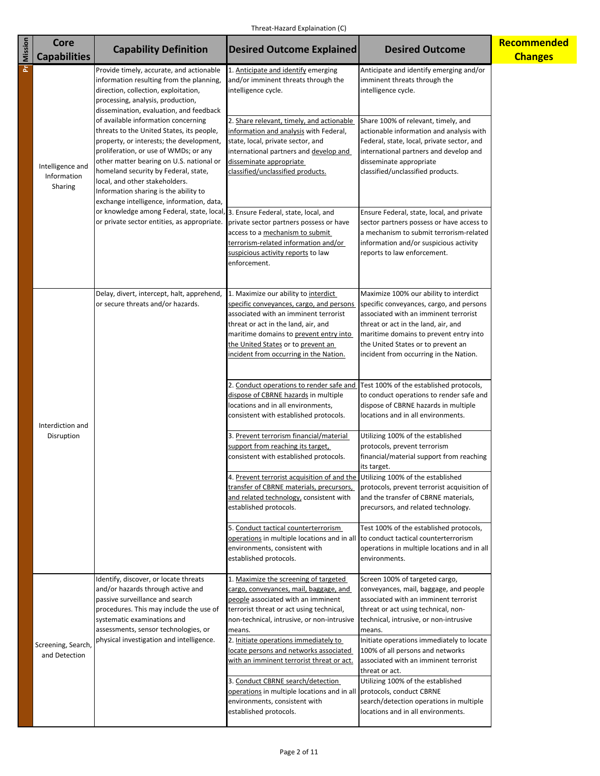| <b>Pr</b> Mission | <b>Core</b>                                | <b>Capability Definition</b>                                                                                                                                                                                                                                                                                                                                                      | <b>Desired Outcome Explained</b>                                                                                                                                                                                                                                                                                                                          | <b>Desired Outcome</b>                                                                                                                                                                                                                                                                                                                 | Recommended    |
|-------------------|--------------------------------------------|-----------------------------------------------------------------------------------------------------------------------------------------------------------------------------------------------------------------------------------------------------------------------------------------------------------------------------------------------------------------------------------|-----------------------------------------------------------------------------------------------------------------------------------------------------------------------------------------------------------------------------------------------------------------------------------------------------------------------------------------------------------|----------------------------------------------------------------------------------------------------------------------------------------------------------------------------------------------------------------------------------------------------------------------------------------------------------------------------------------|----------------|
|                   | <b>Capabilities</b>                        |                                                                                                                                                                                                                                                                                                                                                                                   |                                                                                                                                                                                                                                                                                                                                                           |                                                                                                                                                                                                                                                                                                                                        | <b>Changes</b> |
|                   |                                            | Provide timely, accurate, and actionable<br>information resulting from the planning,<br>direction, collection, exploitation,<br>processing, analysis, production,<br>dissemination, evaluation, and feedback                                                                                                                                                                      | 1. Anticipate and identify emerging<br>and/or imminent threats through the<br>intelligence cycle.                                                                                                                                                                                                                                                         | Anticipate and identify emerging and/or<br>imminent threats through the<br>intelligence cycle.                                                                                                                                                                                                                                         |                |
|                   | Intelligence and<br>Information<br>Sharing | of available information concerning<br>threats to the United States, its people,<br>property, or interests; the development,<br>proliferation, or use of WMDs; or any<br>other matter bearing on U.S. national or<br>homeland security by Federal, state,<br>local, and other stakeholders.<br>Information sharing is the ability to<br>exchange intelligence, information, data, | 2. Share relevant, timely, and actionable<br>information and analysis with Federal,<br>state, local, private sector, and<br>international partners and develop and<br>disseminate appropriate<br>classified/unclassified products.                                                                                                                        | Share 100% of relevant, timely, and<br>actionable information and analysis with<br>Federal, state, local, private sector, and<br>international partners and develop and<br>disseminate appropriate<br>classified/unclassified products.                                                                                                |                |
|                   |                                            | or knowledge among Federal, state, local, 3. Ensure Federal, state, local, and<br>or private sector entities, as appropriate.                                                                                                                                                                                                                                                     | private sector partners possess or have<br>access to a mechanism to submit<br>terrorism-related information and/or<br>suspicious activity reports to law<br>enforcement.                                                                                                                                                                                  | Ensure Federal, state, local, and private<br>sector partners possess or have access to<br>a mechanism to submit terrorism-related<br>information and/or suspicious activity<br>reports to law enforcement.                                                                                                                             |                |
|                   |                                            | Delay, divert, intercept, halt, apprehend,<br>or secure threats and/or hazards.                                                                                                                                                                                                                                                                                                   | 1. Maximize our ability to interdict<br>specific conveyances, cargo, and persons<br>associated with an imminent terrorist<br>threat or act in the land, air, and<br>maritime domains to prevent entry into<br>the United States or to prevent an<br>incident from occurring in the Nation.                                                                | Maximize 100% our ability to interdict<br>specific conveyances, cargo, and persons<br>associated with an imminent terrorist<br>threat or act in the land, air, and<br>maritime domains to prevent entry into<br>the United States or to prevent an<br>incident from occurring in the Nation.                                           |                |
|                   | Interdiction and<br>Disruption             |                                                                                                                                                                                                                                                                                                                                                                                   | 2. Conduct operations to render safe and<br>dispose of CBRNE hazards in multiple<br>locations and in all environments,<br>consistent with established protocols.<br>3. Prevent terrorism financial/material                                                                                                                                               | Test 100% of the established protocols,<br>to conduct operations to render safe and<br>dispose of CBRNE hazards in multiple<br>locations and in all environments.<br>Utilizing 100% of the established                                                                                                                                 |                |
|                   |                                            |                                                                                                                                                                                                                                                                                                                                                                                   | support from reaching its target,<br>consistent with established protocols.                                                                                                                                                                                                                                                                               | protocols, prevent terrorism<br>financial/material support from reaching<br>its target.                                                                                                                                                                                                                                                |                |
|                   |                                            |                                                                                                                                                                                                                                                                                                                                                                                   | 4. Prevent terrorist acquisition of and the Utilizing 100% of the established<br>transfer of CBRNE materials, precursors,<br>and related technology, consistent with<br>established protocols.                                                                                                                                                            | protocols, prevent terrorist acquisition of<br>and the transfer of CBRNE materials,<br>precursors, and related technology.                                                                                                                                                                                                             |                |
|                   |                                            |                                                                                                                                                                                                                                                                                                                                                                                   | 5. Conduct tactical counterterrorism<br>operations in multiple locations and in all to conduct tactical counterterrorism<br>environments, consistent with<br>established protocols.                                                                                                                                                                       | Test 100% of the established protocols,<br>operations in multiple locations and in all<br>environments.                                                                                                                                                                                                                                |                |
|                   | Screening, Search,<br>and Detection        | Identify, discover, or locate threats<br>and/or hazards through active and<br>passive surveillance and search<br>procedures. This may include the use of<br>systematic examinations and<br>assessments, sensor technologies, or<br>physical investigation and intelligence.                                                                                                       | 1. Maximize the screening of targeted<br>cargo, conveyances, mail, baggage, and<br>people associated with an imminent<br>terrorist threat or act using technical,<br>non-technical, intrusive, or non-intrusive<br>means.<br>2. Initiate operations immediately to<br>locate persons and networks associated<br>with an imminent terrorist threat or act. | Screen 100% of targeted cargo,<br>conveyances, mail, baggage, and people<br>associated with an imminent terrorist<br>threat or act using technical, non-<br>technical, intrusive, or non-intrusive<br>means.<br>Initiate operations immediately to locate<br>100% of all persons and networks<br>associated with an imminent terrorist |                |
|                   |                                            |                                                                                                                                                                                                                                                                                                                                                                                   | 3. Conduct CBRNE search/detection<br>operations in multiple locations and in all protocols, conduct CBRNE<br>environments, consistent with<br>established protocols.                                                                                                                                                                                      | threat or act.<br>Utilizing 100% of the established<br>search/detection operations in multiple<br>locations and in all environments.                                                                                                                                                                                                   |                |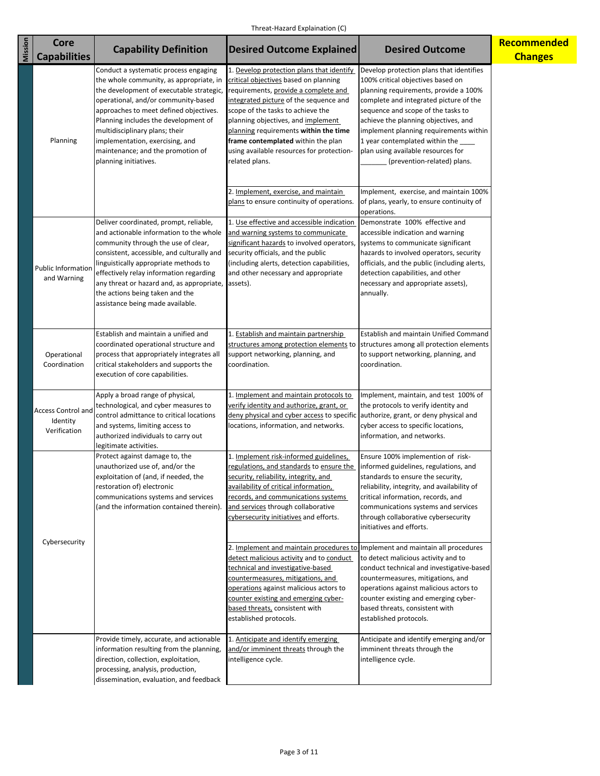| Mission | <b>Core</b><br><b>Capabilities</b>                    | <b>Capability Definition</b>                                                                                                                                                                                                                                                                                                                                                             | <b>Desired Outcome Explained</b>                                                                                                                                                                                                                                                                                                                                                              | <b>Desired Outcome</b>                                                                                                                                                                                                                                                                                                                                                                             | Recommended<br><b>Changes</b> |
|---------|-------------------------------------------------------|------------------------------------------------------------------------------------------------------------------------------------------------------------------------------------------------------------------------------------------------------------------------------------------------------------------------------------------------------------------------------------------|-----------------------------------------------------------------------------------------------------------------------------------------------------------------------------------------------------------------------------------------------------------------------------------------------------------------------------------------------------------------------------------------------|----------------------------------------------------------------------------------------------------------------------------------------------------------------------------------------------------------------------------------------------------------------------------------------------------------------------------------------------------------------------------------------------------|-------------------------------|
|         | Planning                                              | Conduct a systematic process engaging<br>the whole community, as appropriate, in<br>the development of executable strategic,<br>operational, and/or community-based<br>approaches to meet defined objectives.<br>Planning includes the development of<br>multidisciplinary plans; their<br>implementation, exercising, and<br>maintenance; and the promotion of<br>planning initiatives. | 1. Develop protection plans that identify<br>critical objectives based on planning<br>requirements, provide a complete and<br>integrated picture of the sequence and<br>scope of the tasks to achieve the<br>planning objectives, and implement<br>planning requirements within the time<br>frame contemplated within the plan<br>using available resources for protection-<br>related plans. | Develop protection plans that identifies<br>100% critical objectives based on<br>planning requirements, provide a 100%<br>complete and integrated picture of the<br>sequence and scope of the tasks to<br>achieve the planning objectives, and<br>implement planning requirements within<br>1 year contemplated within the<br>plan using available resources for<br>(prevention-related) plans.    |                               |
|         | <b>Public Information</b><br>and Warning              | Deliver coordinated, prompt, reliable,<br>and actionable information to the whole<br>community through the use of clear,<br>consistent, accessible, and culturally and<br>linguistically appropriate methods to<br>effectively relay information regarding<br>any threat or hazard and, as appropriate, assets).<br>the actions being taken and the<br>assistance being made available.  | 2. Implement, exercise, and maintain<br>plans to ensure continuity of operations.<br>1. Use effective and accessible indication<br>and warning systems to communicate<br>significant hazards to involved operators,<br>security officials, and the public<br>(including alerts, detection capabilities,<br>and other necessary and appropriate                                                | Implement, exercise, and maintain 100%<br>of plans, yearly, to ensure continuity of<br>operations.<br>Demonstrate 100% effective and<br>accessible indication and warning<br>systems to communicate significant<br>hazards to involved operators, security<br>officials, and the public (including alerts,<br>detection capabilities, and other<br>necessary and appropriate assets),<br>annually. |                               |
|         | Operational<br>Coordination                           | Establish and maintain a unified and<br>coordinated operational structure and<br>process that appropriately integrates all<br>critical stakeholders and supports the<br>execution of core capabilities.                                                                                                                                                                                  | 1. Establish and maintain partnership<br>structures among protection elements to<br>support networking, planning, and<br>coordination.                                                                                                                                                                                                                                                        | Establish and maintain Unified Command<br>structures among all protection elements<br>to support networking, planning, and<br>coordination.                                                                                                                                                                                                                                                        |                               |
|         | <b>Access Control and</b><br>Identity<br>Verification | Apply a broad range of physical,<br>technological, and cyber measures to<br>control admittance to critical locations<br>and systems, limiting access to<br>authorized individuals to carry out<br>legitimate activities.                                                                                                                                                                 | 1. Implement and maintain protocols to<br>verify identity and authorize, grant, or<br>deny physical and cyber access to specific<br>locations, information, and networks.                                                                                                                                                                                                                     | Implement, maintain, and test 100% of<br>the protocols to verify identity and<br>authorize, grant, or deny physical and<br>cyber access to specific locations,<br>information, and networks.                                                                                                                                                                                                       |                               |
|         | Cybersecurity                                         | Protect against damage to, the<br>unauthorized use of, and/or the<br>exploitation of (and, if needed, the<br>restoration of) electronic<br>communications systems and services<br>(and the information contained therein).                                                                                                                                                               | Implement risk-informed guidelines,<br>regulations, and standards to ensure the<br>security, reliability, integrity, and<br>availability of critical information,<br>records, and communications systems<br>and services through collaborative<br>cybersecurity initiatives and efforts.<br>2. Implement and maintain procedures to                                                           | Ensure 100% implemention of risk-<br>informed guidelines, regulations, and<br>standards to ensure the security,<br>reliability, integrity, and availability of<br>critical information, records, and<br>communications systems and services<br>through collaborative cybersecurity<br>initiatives and efforts.<br>Implement and maintain all procedures                                            |                               |
|         |                                                       |                                                                                                                                                                                                                                                                                                                                                                                          | detect malicious activity and to conduct<br>technical and investigative-based<br>countermeasures, mitigations, and<br>operations against malicious actors to<br>counter existing and emerging cyber-<br>based threats, consistent with<br>established protocols.                                                                                                                              | to detect malicious activity and to<br>conduct technical and investigative-based<br>countermeasures, mitigations, and<br>operations against malicious actors to<br>counter existing and emerging cyber-<br>based threats, consistent with<br>established protocols.                                                                                                                                |                               |
|         |                                                       | Provide timely, accurate, and actionable<br>information resulting from the planning,<br>direction, collection, exploitation,<br>processing, analysis, production,<br>dissemination, evaluation, and feedback                                                                                                                                                                             | 1. Anticipate and identify emerging<br>and/or imminent threats through the<br>intelligence cycle.                                                                                                                                                                                                                                                                                             | Anticipate and identify emerging and/or<br>imminent threats through the<br>intelligence cycle.                                                                                                                                                                                                                                                                                                     |                               |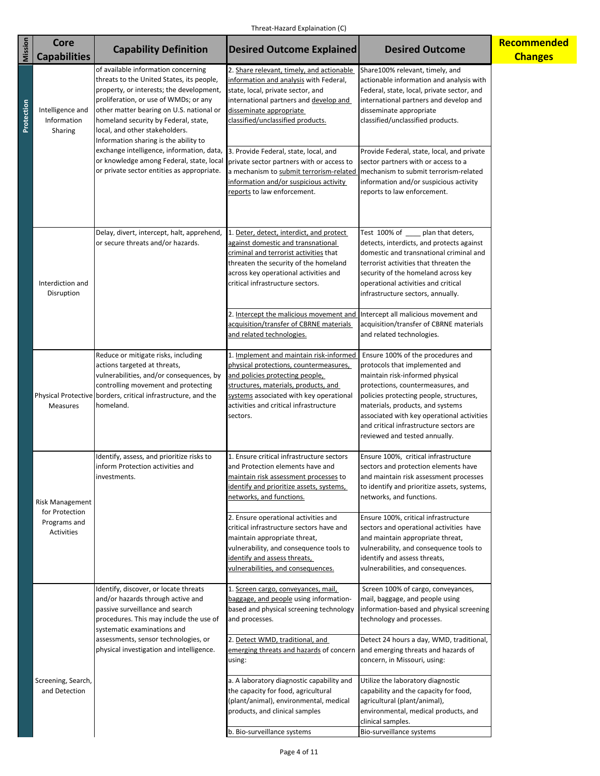| Mission    | <b>Core</b>                                  | <b>Capability Definition</b>                                                                                                                                                                                                                                                                                                                                                                                                  | <b>Desired Outcome Explained</b>                                                                                                                                                                                                                                                                                                                                                                              | <b>Desired Outcome</b>                                                                                                                                                                                                                                                                                                                                                                                                                             | Recommended    |
|------------|----------------------------------------------|-------------------------------------------------------------------------------------------------------------------------------------------------------------------------------------------------------------------------------------------------------------------------------------------------------------------------------------------------------------------------------------------------------------------------------|---------------------------------------------------------------------------------------------------------------------------------------------------------------------------------------------------------------------------------------------------------------------------------------------------------------------------------------------------------------------------------------------------------------|----------------------------------------------------------------------------------------------------------------------------------------------------------------------------------------------------------------------------------------------------------------------------------------------------------------------------------------------------------------------------------------------------------------------------------------------------|----------------|
|            | <b>Capabilities</b>                          |                                                                                                                                                                                                                                                                                                                                                                                                                               |                                                                                                                                                                                                                                                                                                                                                                                                               |                                                                                                                                                                                                                                                                                                                                                                                                                                                    | <b>Changes</b> |
| Protection | Intelligence and<br>Information<br>Sharing   | of available information concerning<br>threats to the United States, its people,<br>property, or interests; the development,<br>proliferation, or use of WMDs; or any<br>other matter bearing on U.S. national or<br>homeland security by Federal, state,<br>local, and other stakeholders.<br>Information sharing is the ability to<br>exchange intelligence, information, data,<br>or knowledge among Federal, state, local | 2. Share relevant, timely, and actionable<br>information and analysis with Federal,<br>state, local, private sector, and<br>international partners and develop and<br>disseminate appropriate<br>classified/unclassified products.<br>3. Provide Federal, state, local, and<br>private sector partners with or access to                                                                                      | Share100% relevant, timely, and<br>actionable information and analysis with<br>Federal, state, local, private sector, and<br>international partners and develop and<br>disseminate appropriate<br>classified/unclassified products.<br>Provide Federal, state, local, and private<br>sector partners with or access to a                                                                                                                           |                |
|            | Interdiction and<br>Disruption               | or private sector entities as appropriate.<br>Delay, divert, intercept, halt, apprehend,<br>or secure threats and/or hazards.                                                                                                                                                                                                                                                                                                 | a mechanism to submit terrorism-related<br>information and/or suspicious activity<br>reports to law enforcement.<br>1. Deter, detect, interdict, and protect<br>against domestic and transnational<br>criminal and terrorist activities that<br>threaten the security of the homeland<br>across key operational activities and<br>critical infrastructure sectors.<br>2. Intercept the malicious movement and | mechanism to submit terrorism-related<br>information and/or suspicious activity<br>reports to law enforcement.<br>Test 100% of ____ plan that deters,<br>detects, interdicts, and protects against<br>domestic and transnational criminal and<br>terrorist activities that threaten the<br>security of the homeland across key<br>operational activities and critical<br>infrastructure sectors, annually.<br>Intercept all malicious movement and |                |
|            |                                              |                                                                                                                                                                                                                                                                                                                                                                                                                               | acquisition/transfer of CBRNE materials<br>and related technologies.                                                                                                                                                                                                                                                                                                                                          | acquisition/transfer of CBRNE materials<br>and related technologies.                                                                                                                                                                                                                                                                                                                                                                               |                |
|            | <b>Measures</b>                              | Reduce or mitigate risks, including<br>actions targeted at threats,<br>vulnerabilities, and/or consequences, by<br>controlling movement and protecting<br>Physical Protective borders, critical infrastructure, and the<br>homeland.                                                                                                                                                                                          | 1. Implement and maintain risk-informed<br>physical protections, countermeasures,<br>and policies protecting people,<br>structures, materials, products, and<br>systems associated with key operational<br>activities and critical infrastructure<br>sectors.                                                                                                                                                 | Ensure 100% of the procedures and<br>protocols that implemented and<br>maintain risk-informed physical<br>protections, countermeasures, and<br>policies protecting people, structures,<br>materials, products, and systems<br>associated with key operational activities<br>and critical infrastructure sectors are<br>reviewed and tested annually.                                                                                               |                |
|            | <b>Risk Management</b>                       | Identify, assess, and prioritize risks to<br>inform Protection activities and<br>investments.                                                                                                                                                                                                                                                                                                                                 | 1. Ensure critical infrastructure sectors<br>and Protection elements have and<br><u>maintain risk assessment processes</u> to<br>dentify and prioritize assets, systems,<br>networks, and functions.                                                                                                                                                                                                          | Ensure 100%, critical infrastructure<br>sectors and protection elements have<br>and maintain risk assessment processes<br>to identify and prioritize assets, systems,<br>networks, and functions.                                                                                                                                                                                                                                                  |                |
|            | for Protection<br>Programs and<br>Activities | 2. Ensure operational activities and<br>critical infrastructure sectors have and<br>maintain appropriate threat,<br>vulnerability, and consequence tools to<br>dentify and assess threats,<br>vulnerabilities, and consequences.                                                                                                                                                                                              | Ensure 100%, critical infrastructure<br>sectors and operational activities have<br>and maintain appropriate threat,<br>vulnerability, and consequence tools to<br>identify and assess threats,<br>vulnerabilities, and consequences.                                                                                                                                                                          |                                                                                                                                                                                                                                                                                                                                                                                                                                                    |                |
|            |                                              | Identify, discover, or locate threats<br>and/or hazards through active and<br>passive surveillance and search<br>procedures. This may include the use of<br>systematic examinations and                                                                                                                                                                                                                                       | 1. Screen cargo, conveyances, mail,<br>baggage, and people using information-<br>based and physical screening technology<br>and processes.                                                                                                                                                                                                                                                                    | Screen 100% of cargo, conveyances,<br>mail, baggage, and people using<br>information-based and physical screening<br>technology and processes.                                                                                                                                                                                                                                                                                                     |                |
|            |                                              | assessments, sensor technologies, or<br>physical investigation and intelligence.                                                                                                                                                                                                                                                                                                                                              | 2. Detect WMD, traditional, and<br>emerging threats and hazards of concern<br>using:                                                                                                                                                                                                                                                                                                                          | Detect 24 hours a day, WMD, traditional,<br>and emerging threats and hazards of<br>concern, in Missouri, using:                                                                                                                                                                                                                                                                                                                                    |                |
|            | Screening, Search,<br>and Detection          |                                                                                                                                                                                                                                                                                                                                                                                                                               | a. A laboratory diagnostic capability and<br>the capacity for food, agricultural<br>(plant/animal), environmental, medical<br>products, and clinical samples                                                                                                                                                                                                                                                  | Utilize the laboratory diagnostic<br>capability and the capacity for food,<br>agricultural (plant/animal),<br>environmental, medical products, and<br>clinical samples.                                                                                                                                                                                                                                                                            |                |
|            |                                              |                                                                                                                                                                                                                                                                                                                                                                                                                               | b. Bio-surveillance systems                                                                                                                                                                                                                                                                                                                                                                                   | Bio-surveillance systems                                                                                                                                                                                                                                                                                                                                                                                                                           |                |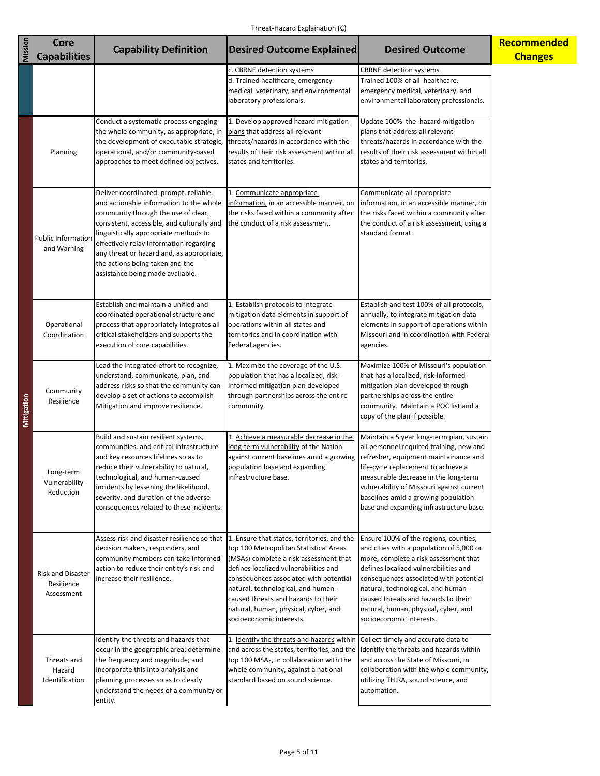| Mission    | <b>Core</b><br><b>Capabilities</b>                   | <b>Capability Definition</b>                                                                                                                                                                                                                                                                                                                                                   | <b>Desired Outcome Explained</b>                                                                                                                                                                                                                                                                                     | <b>Desired Outcome</b>                                                                                                                                                                                                                                                                                                                                         | Recommended<br><b>Changes</b> |
|------------|------------------------------------------------------|--------------------------------------------------------------------------------------------------------------------------------------------------------------------------------------------------------------------------------------------------------------------------------------------------------------------------------------------------------------------------------|----------------------------------------------------------------------------------------------------------------------------------------------------------------------------------------------------------------------------------------------------------------------------------------------------------------------|----------------------------------------------------------------------------------------------------------------------------------------------------------------------------------------------------------------------------------------------------------------------------------------------------------------------------------------------------------------|-------------------------------|
|            |                                                      |                                                                                                                                                                                                                                                                                                                                                                                | c. CBRNE detection systems<br>d. Trained healthcare, emergency<br>medical, veterinary, and environmental<br>laboratory professionals.                                                                                                                                                                                | <b>CBRNE</b> detection systems<br>Trained 100% of all healthcare,<br>emergency medical, veterinary, and<br>environmental laboratory professionals.                                                                                                                                                                                                             |                               |
| Mitigation | Planning                                             | Conduct a systematic process engaging<br>the whole community, as appropriate, in<br>the development of executable strategic,<br>operational, and/or community-based<br>approaches to meet defined objectives.                                                                                                                                                                  | 1. Develop approved hazard mitigation<br>plans that address all relevant<br>threats/hazards in accordance with the<br>results of their risk assessment within all<br>states and territories.                                                                                                                         | Update 100% the hazard mitigation<br>plans that address all relevant<br>threats/hazards in accordance with the<br>results of their risk assessment within all<br>states and territories.                                                                                                                                                                       |                               |
|            | <b>Public Information</b><br>and Warning             | Deliver coordinated, prompt, reliable,<br>and actionable information to the whole<br>community through the use of clear,<br>consistent, accessible, and culturally and<br>linguistically appropriate methods to<br>effectively relay information regarding<br>any threat or hazard and, as appropriate,<br>the actions being taken and the<br>assistance being made available. | 1. Communicate appropriate<br>information, in an accessible manner, on<br>the risks faced within a community after<br>the conduct of a risk assessment.                                                                                                                                                              | Communicate all appropriate<br>information, in an accessible manner, on<br>the risks faced within a community after<br>the conduct of a risk assessment, using a<br>standard format.                                                                                                                                                                           |                               |
|            | Operational<br>Coordination                          | Establish and maintain a unified and<br>coordinated operational structure and<br>process that appropriately integrates all<br>critical stakeholders and supports the<br>execution of core capabilities.                                                                                                                                                                        | 1. Establish protocols to integrate<br>mitigation data elements in support of<br>operations within all states and<br>territories and in coordination with<br>Federal agencies.                                                                                                                                       | Establish and test 100% of all protocols,<br>annually, to integrate mitigation data<br>elements in support of operations within<br>Missouri and in coordination with Federal<br>agencies.                                                                                                                                                                      |                               |
|            | Community<br>Resilience                              | Lead the integrated effort to recognize,<br>understand, communicate, plan, and<br>address risks so that the community can<br>develop a set of actions to accomplish<br>Mitigation and improve resilience.                                                                                                                                                                      | 1. Maximize the coverage of the U.S.<br>population that has a localized, risk-<br>informed mitigation plan developed<br>through partnerships across the entire<br>community.                                                                                                                                         | Maximize 100% of Missouri's population<br>that has a localized, risk-informed<br>mitigation plan developed through<br>partnerships across the entire<br>community. Maintain a POC list and a<br>copy of the plan if possible.                                                                                                                                  |                               |
|            | Long-term<br>Vulnerability<br>Reduction              | Build and sustain resilient systems,<br>communities, and critical infrastructure<br>and key resources lifelines so as to<br>reduce their vulnerability to natural,<br>technological, and human-caused<br>incidents by lessening the likelihood,<br>severity, and duration of the adverse<br>consequences related to these incidents.                                           | 1. Achieve a measurable decrease in the<br>long-term vulnerability of the Nation<br>against current baselines amid a growing<br>population base and expanding<br>infrastructure base.                                                                                                                                | Maintain a 5 year long-term plan, sustain<br>all personnel required training, new and<br>refresher, equipment maintainance and<br>life-cycle replacement to achieve a<br>measurable decrease in the long-term<br>vulnerability of Missouri against current<br>baselines amid a growing population<br>base and expanding infrastructure base.                   |                               |
|            | <b>Risk and Disaster</b><br>Resilience<br>Assessment | Assess risk and disaster resilience so that 1. Ensure that states, territories, and the<br>decision makers, responders, and<br>community members can take informed<br>action to reduce their entity's risk and<br>increase their resilience.                                                                                                                                   | top 100 Metropolitan Statistical Areas<br>(MSAs) complete a risk assessment that<br>defines localized vulnerabilities and<br>consequences associated with potential<br>natural, technological, and human-<br>caused threats and hazards to their<br>natural, human, physical, cyber, and<br>socioeconomic interests. | Ensure 100% of the regions, counties,<br>and cities with a population of 5,000 or<br>more, complete a risk assessment that<br>defines localized vulnerabilities and<br>consequences associated with potential<br>natural, technological, and human-<br>caused threats and hazards to their<br>natural, human, physical, cyber, and<br>socioeconomic interests. |                               |
|            | Threats and<br>Hazard<br>Identification              | Identify the threats and hazards that<br>occur in the geographic area; determine<br>the frequency and magnitude; and<br>incorporate this into analysis and<br>planning processes so as to clearly<br>understand the needs of a community or<br>entity.                                                                                                                         | 1. Identify the threats and hazards within<br>and across the states, territories, and the<br>top 100 MSAs, in collaboration with the<br>whole community, against a national<br>standard based on sound science.                                                                                                      | Collect timely and accurate data to<br>identify the threats and hazards within<br>and across the State of Missouri, in<br>collaboration with the whole community,<br>utilizing THIRA, sound science, and<br>automation.                                                                                                                                        |                               |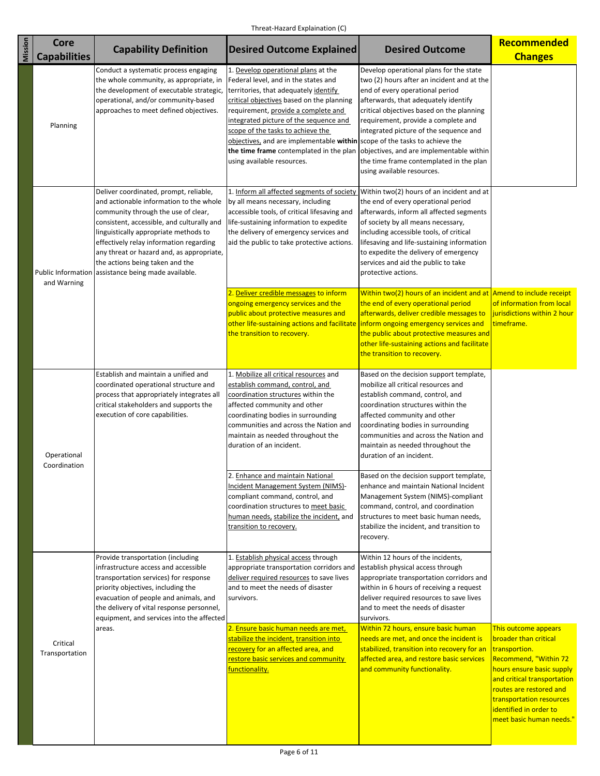| Mission | <b>Core</b>                                                                                                                                                                                                                            | <b>Capability Definition</b>                                                                                                                                                                                                                                                                                                                                                   | <b>Desired Outcome Explained</b>                                                                                                                                                                                                                                                                                                                                                                                                               | <b>Desired Outcome</b>                                                                                                                                                                                                                                                                                                                                                                                              | Recommended                                                                                                                                                                                                                                                      |
|---------|----------------------------------------------------------------------------------------------------------------------------------------------------------------------------------------------------------------------------------------|--------------------------------------------------------------------------------------------------------------------------------------------------------------------------------------------------------------------------------------------------------------------------------------------------------------------------------------------------------------------------------|------------------------------------------------------------------------------------------------------------------------------------------------------------------------------------------------------------------------------------------------------------------------------------------------------------------------------------------------------------------------------------------------------------------------------------------------|---------------------------------------------------------------------------------------------------------------------------------------------------------------------------------------------------------------------------------------------------------------------------------------------------------------------------------------------------------------------------------------------------------------------|------------------------------------------------------------------------------------------------------------------------------------------------------------------------------------------------------------------------------------------------------------------|
|         | <b>Capabilities</b>                                                                                                                                                                                                                    |                                                                                                                                                                                                                                                                                                                                                                                |                                                                                                                                                                                                                                                                                                                                                                                                                                                |                                                                                                                                                                                                                                                                                                                                                                                                                     | <b>Changes</b>                                                                                                                                                                                                                                                   |
|         | Planning                                                                                                                                                                                                                               | Conduct a systematic process engaging<br>the whole community, as appropriate, in<br>the development of executable strategic,<br>operational, and/or community-based<br>approaches to meet defined objectives.                                                                                                                                                                  | 1. Develop operational plans at the<br>Federal level, and in the states and<br>territories, that adequately identify<br>critical objectives based on the planning<br>requirement, provide a complete and<br>integrated picture of the sequence and<br>scope of the tasks to achieve the<br>objectives, and are implementable within scope of the tasks to achieve the<br>the time frame contemplated in the plan<br>using available resources. | Develop operational plans for the state<br>two (2) hours after an incident and at the<br>end of every operational period<br>afterwards, that adequately identify<br>critical objectives based on the planning<br>requirement, provide a complete and<br>integrated picture of the sequence and<br>objectives, and are implementable within<br>the time frame contemplated in the plan<br>using available resources. |                                                                                                                                                                                                                                                                  |
|         | <b>Public Information</b><br>and Warning                                                                                                                                                                                               | Deliver coordinated, prompt, reliable,<br>and actionable information to the whole<br>community through the use of clear,<br>consistent, accessible, and culturally and<br>linguistically appropriate methods to<br>effectively relay information regarding<br>any threat or hazard and, as appropriate,<br>the actions being taken and the<br>assistance being made available. | 1. Inform all affected segments of society<br>by all means necessary, including<br>accessible tools, of critical lifesaving and<br>life-sustaining information to expedite<br>the delivery of emergency services and<br>aid the public to take protective actions.                                                                                                                                                                             | Within two(2) hours of an incident and at<br>the end of every operational period<br>afterwards, inform all affected segments<br>of society by all means necessary,<br>including accessible tools, of critical<br>lifesaving and life-sustaining information<br>to expedite the delivery of emergency<br>services and aid the public to take<br>protective actions.                                                  |                                                                                                                                                                                                                                                                  |
|         |                                                                                                                                                                                                                                        |                                                                                                                                                                                                                                                                                                                                                                                | 2. Deliver credible messages to inform<br>ongoing emergency services and the<br>public about protective measures and<br>other life-sustaining actions and facilitate<br>the transition to recovery.                                                                                                                                                                                                                                            | Within two(2) hours of an incident and at $\vert$ Amend to include receipt<br>the end of every operational period<br>afterwards, deliver credible messages to<br>inform ongoing emergency services and<br>the public about protective measures and<br>other life-sustaining actions and facilitate<br>the transition to recovery.                                                                                   | of information from local<br>jurisdictions within 2 hour<br>timeframe.                                                                                                                                                                                           |
|         | Establish and maintain a unified and<br>coordinated operational structure and<br>process that appropriately integrates all<br>critical stakeholders and supports the<br>execution of core capabilities.<br>Operational<br>Coordination | 1. Mobilize all critical resources and<br>establish command, control, and<br>coordination structures within the<br>affected community and other<br>coordinating bodies in surrounding<br>communities and across the Nation and<br>maintain as needed throughout the<br>duration of an incident.                                                                                | Based on the decision support template,<br>mobilize all critical resources and<br>establish command, control, and<br>coordination structures within the<br>affected community and other<br>coordinating bodies in surrounding<br>communities and across the Nation and<br>maintain as needed throughout the<br>duration of an incident.                                                                                                        |                                                                                                                                                                                                                                                                                                                                                                                                                     |                                                                                                                                                                                                                                                                  |
|         |                                                                                                                                                                                                                                        |                                                                                                                                                                                                                                                                                                                                                                                | 2. Enhance and maintain National<br>Incident Management System (NIMS)-<br>compliant command, control, and<br>coordination structures to meet basic<br>human needs, stabilize the incident, and<br>transition to recovery.                                                                                                                                                                                                                      | Based on the decision support template,<br>enhance and maintain National Incident<br>Management System (NIMS)-compliant<br>command, control, and coordination<br>structures to meet basic human needs,<br>stabilize the incident, and transition to<br>recovery.                                                                                                                                                    |                                                                                                                                                                                                                                                                  |
|         |                                                                                                                                                                                                                                        | Provide transportation (including<br>infrastructure access and accessible<br>transportation services) for response<br>priority objectives, including the<br>evacuation of people and animals, and<br>the delivery of vital response personnel,<br>equipment, and services into the affected                                                                                    | 1. Establish physical access through<br>appropriate transportation corridors and<br>deliver required resources to save lives<br>and to meet the needs of disaster<br>survivors.                                                                                                                                                                                                                                                                | Within 12 hours of the incidents,<br>establish physical access through<br>appropriate transportation corridors and<br>within in 6 hours of receiving a request<br>deliver required resources to save lives<br>and to meet the needs of disaster<br>survivors.                                                                                                                                                       |                                                                                                                                                                                                                                                                  |
|         | Critical<br>Transportation                                                                                                                                                                                                             | areas.                                                                                                                                                                                                                                                                                                                                                                         | 2. Ensure basic human needs are met,<br>stabilize the incident, transition into<br>recovery for an affected area, and<br>restore basic services and community<br>functionality.                                                                                                                                                                                                                                                                | Within 72 hours, ensure basic human<br>needs are met, and once the incident is<br>stabilized, transition into recovery for an<br>affected area, and restore basic services<br>and community functionality.                                                                                                                                                                                                          | This outcome appears<br>broader than critical<br>transportion.<br>Recommend, "Within 72<br>hours ensure basic supply<br>and critical transportation<br>routes are restored and<br>transportation resources<br>identified in order to<br>meet basic human needs." |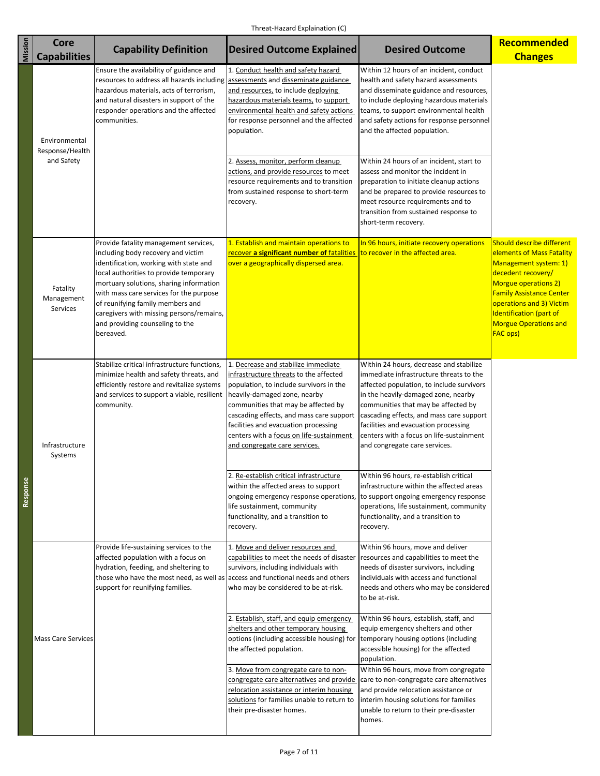| Mission  | <b>Core</b>                                    | <b>Capability Definition</b>                                                                                                                                                                                                                                                                                                                                                          | <b>Desired Outcome Explained</b>                                                                                                                                                                                                                                                                                                                                                                           | <b>Desired Outcome</b>                                                                                                                                                                                                                                                                                                                                                                                                                                                                                                                                                      | <b>Recommended</b>                                                                                                                                                                                                                                                         |
|----------|------------------------------------------------|---------------------------------------------------------------------------------------------------------------------------------------------------------------------------------------------------------------------------------------------------------------------------------------------------------------------------------------------------------------------------------------|------------------------------------------------------------------------------------------------------------------------------------------------------------------------------------------------------------------------------------------------------------------------------------------------------------------------------------------------------------------------------------------------------------|-----------------------------------------------------------------------------------------------------------------------------------------------------------------------------------------------------------------------------------------------------------------------------------------------------------------------------------------------------------------------------------------------------------------------------------------------------------------------------------------------------------------------------------------------------------------------------|----------------------------------------------------------------------------------------------------------------------------------------------------------------------------------------------------------------------------------------------------------------------------|
|          | <b>Capabilities</b>                            |                                                                                                                                                                                                                                                                                                                                                                                       |                                                                                                                                                                                                                                                                                                                                                                                                            |                                                                                                                                                                                                                                                                                                                                                                                                                                                                                                                                                                             | <b>Changes</b>                                                                                                                                                                                                                                                             |
|          | Environmental<br>Response/Health<br>and Safety | Ensure the availability of guidance and<br>resources to address all hazards including assessments and disseminate guidance<br>hazardous materials, acts of terrorism,<br>and natural disasters in support of the<br>responder operations and the affected<br>communities.                                                                                                             | 1. Conduct health and safety hazard<br>and resources, to include deploying<br>hazardous materials teams, to support<br>environmental health and safety actions<br>for response personnel and the affected<br>population.<br>2. Assess, monitor, perform cleanup<br>actions, and provide resources to meet<br>resource requirements and to transition<br>from sustained response to short-term<br>recovery. | Within 12 hours of an incident, conduct<br>health and safety hazard assessments<br>and disseminate guidance and resources,<br>to include deploying hazardous materials<br>teams, to support environmental health<br>and safety actions for response personnel<br>and the affected population.<br>Within 24 hours of an incident, start to<br>assess and monitor the incident in<br>preparation to initiate cleanup actions<br>and be prepared to provide resources to<br>meet resource requirements and to<br>transition from sustained response to<br>short-term recovery. |                                                                                                                                                                                                                                                                            |
| Response | Fatality<br>Management<br><b>Services</b>      | Provide fatality management services,<br>including body recovery and victim<br>identification, working with state and<br>local authorities to provide temporary<br>mortuary solutions, sharing information<br>with mass care services for the purpose<br>of reunifying family members and<br>caregivers with missing persons/remains,<br>and providing counseling to the<br>bereaved. | 1. Establish and maintain operations to<br>recover a significant number of fatalities<br>over a geographically dispersed area.                                                                                                                                                                                                                                                                             | In 96 hours, initiate recovery operations<br>to recover in the affected area.                                                                                                                                                                                                                                                                                                                                                                                                                                                                                               | Should describe different<br>elements of Mass Fatality<br>Management system: 1)<br>decedent recovery/<br>Morgue operations 2)<br><b>Family Assistance Center</b><br>operations and 3) Victim<br>Identification (part of<br><b>Morgue Operations and</b><br><b>FAC ops)</b> |
|          | Infrastructure<br>Systems                      | Stabilize critical infrastructure functions,<br>minimize health and safety threats, and<br>efficiently restore and revitalize systems<br>and services to support a viable, resilient<br>community.                                                                                                                                                                                    | 1. Decrease and stabilize immediate<br>infrastructure threats to the affected<br>population, to include survivors in the<br>heavily-damaged zone, nearby<br>communities that may be affected by<br>cascading effects, and mass care support<br>facilities and evacuation processing<br>centers with a focus on life-sustainment<br>and congregate care services.                                           | Within 24 hours, decrease and stabilize<br>immediate infrastructure threats to the<br>affected population, to include survivors<br>in the heavily-damaged zone, nearby<br>communities that may be affected by<br>cascading effects, and mass care support<br>facilities and evacuation processing<br>centers with a focus on life-sustainment<br>and congregate care services.                                                                                                                                                                                              |                                                                                                                                                                                                                                                                            |
|          |                                                |                                                                                                                                                                                                                                                                                                                                                                                       | 2. Re-establish critical infrastructure<br>within the affected areas to support<br>ongoing emergency response operations,<br>life sustainment, community<br>functionality, and a transition to<br>recovery.                                                                                                                                                                                                | Within 96 hours, re-establish critical<br>infrastructure within the affected areas<br>to support ongoing emergency response<br>operations, life sustainment, community<br>functionality, and a transition to<br>recovery.                                                                                                                                                                                                                                                                                                                                                   |                                                                                                                                                                                                                                                                            |
|          |                                                | Provide life-sustaining services to the<br>affected population with a focus on<br>hydration, feeding, and sheltering to<br>those who have the most need, as well as access and functional needs and others<br>support for reunifying families.                                                                                                                                        | 1. Move and deliver resources and<br>capabilities to meet the needs of disaster<br>survivors, including individuals with<br>who may be considered to be at-risk.                                                                                                                                                                                                                                           | Within 96 hours, move and deliver<br>resources and capabilities to meet the<br>needs of disaster survivors, including<br>individuals with access and functional<br>needs and others who may be considered<br>to be at-risk.                                                                                                                                                                                                                                                                                                                                                 |                                                                                                                                                                                                                                                                            |
|          | <b>Mass Care Services</b>                      |                                                                                                                                                                                                                                                                                                                                                                                       | 2. Establish, staff, and equip emergency<br>shelters and other temporary housing<br>options (including accessible housing) for<br>the affected population.<br>3. Move from congregate care to non-                                                                                                                                                                                                         | Within 96 hours, establish, staff, and<br>equip emergency shelters and other<br>temporary housing options (including<br>accessible housing) for the affected<br>population.<br>Within 96 hours, move from congregate                                                                                                                                                                                                                                                                                                                                                        |                                                                                                                                                                                                                                                                            |
|          |                                                |                                                                                                                                                                                                                                                                                                                                                                                       | congregate care alternatives and provide<br>relocation assistance or interim housing<br>solutions for families unable to return to<br>their pre-disaster homes.                                                                                                                                                                                                                                            | care to non-congregate care alternatives<br>and provide relocation assistance or<br>interim housing solutions for families<br>unable to return to their pre-disaster<br>homes.                                                                                                                                                                                                                                                                                                                                                                                              |                                                                                                                                                                                                                                                                            |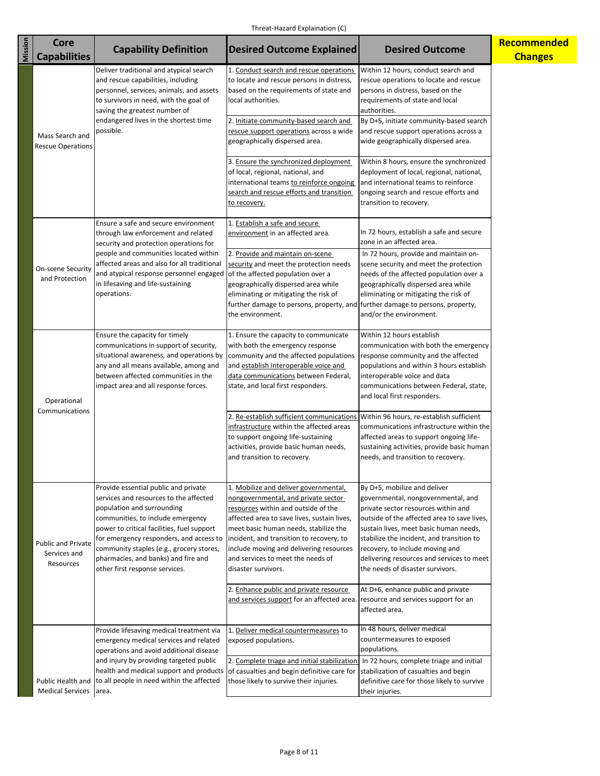| Mission | <b>Core</b>                                                                                                                                                                                                                | <b>Capability Definition</b>                                                                                                                                                                                                                                                                                                                                    | <b>Desired Outcome Explained</b>                                                                                                                                                                                                                                                                                                                               | <b>Desired Outcome</b>                                                                                                                                                                                                                                                                                                                                              | Recommended    |
|---------|----------------------------------------------------------------------------------------------------------------------------------------------------------------------------------------------------------------------------|-----------------------------------------------------------------------------------------------------------------------------------------------------------------------------------------------------------------------------------------------------------------------------------------------------------------------------------------------------------------|----------------------------------------------------------------------------------------------------------------------------------------------------------------------------------------------------------------------------------------------------------------------------------------------------------------------------------------------------------------|---------------------------------------------------------------------------------------------------------------------------------------------------------------------------------------------------------------------------------------------------------------------------------------------------------------------------------------------------------------------|----------------|
|         | <b>Capabilities</b>                                                                                                                                                                                                        | Deliver traditional and atypical search                                                                                                                                                                                                                                                                                                                         | 1. Conduct search and rescue operations                                                                                                                                                                                                                                                                                                                        | Within 12 hours, conduct search and                                                                                                                                                                                                                                                                                                                                 | <b>Changes</b> |
|         |                                                                                                                                                                                                                            | and rescue capabilities, including<br>personnel, services, animals, and assets<br>to survivors in need, with the goal of<br>saving the greatest number of                                                                                                                                                                                                       | to locate and rescue persons in distress,<br>based on the requirements of state and<br>local authorities.                                                                                                                                                                                                                                                      | rescue operations to locate and rescue<br>persons in distress, based on the<br>requirements of state and local<br>authorities.                                                                                                                                                                                                                                      |                |
|         | Mass Search and<br><b>Rescue Operations</b>                                                                                                                                                                                | endangered lives in the shortest time<br>possible.                                                                                                                                                                                                                                                                                                              | 2. Initiate community-based search and<br>rescue support operations across a wide<br>geographically dispersed area.                                                                                                                                                                                                                                            | By D+5, initiate community-based search<br>and rescue support operations across a<br>wide geographically dispersed area.                                                                                                                                                                                                                                            |                |
|         |                                                                                                                                                                                                                            |                                                                                                                                                                                                                                                                                                                                                                 | 3. Ensure the synchronized deployment<br>of local, regional, national, and<br>international teams to reinforce ongoing<br>search and rescue efforts and transition<br>to recovery.                                                                                                                                                                             | Within 8 hours, ensure the synchronized<br>deployment of local, regional, national,<br>and international teams to reinforce<br>ongoing search and rescue efforts and<br>transition to recovery.                                                                                                                                                                     |                |
|         |                                                                                                                                                                                                                            | Ensure a safe and secure environment<br>through law enforcement and related<br>security and protection operations for                                                                                                                                                                                                                                           | 1. Establish a safe and secure<br>environment in an affected area.                                                                                                                                                                                                                                                                                             | In 72 hours, establish a safe and secure<br>zone in an affected area.                                                                                                                                                                                                                                                                                               |                |
|         | people and communities located within<br>affected areas and also for all traditional<br>On-scene Security<br>and atypical response personnel engaged<br>and Protection<br>in lifesaving and life-sustaining<br>operations. | 2. Provide and maintain on-scene<br>security and meet the protection needs<br>of the affected population over a<br>geographically dispersed area while<br>eliminating or mitigating the risk of<br>further damage to persons, property, and further damage to persons, property,<br>the environment.                                                            | In 72 hours, provide and maintain on-<br>scene security and meet the protection<br>needs of the affected population over a<br>geographically dispersed area while<br>eliminating or mitigating the risk of<br>and/or the environment.                                                                                                                          |                                                                                                                                                                                                                                                                                                                                                                     |                |
|         | Ensure the capacity for timely<br>Operational<br>Communications                                                                                                                                                            | communications in support of security,<br>situational awareness, and operations by<br>any and all means available, among and<br>between affected communities in the<br>impact area and all response forces.                                                                                                                                                     | 1. Ensure the capacity to communicate<br>with both the emergency response<br>community and the affected populations<br>and establish interoperable voice and<br>data communications between Federal,<br>state, and local first responders.                                                                                                                     | Within 12 hours establish<br>communication with both the emergency<br>response community and the affected<br>populations and within 3 hours establish<br>interoperable voice and data<br>communications between Federal, state,<br>and local first responders.                                                                                                      |                |
|         |                                                                                                                                                                                                                            |                                                                                                                                                                                                                                                                                                                                                                 | 2. Re-establish sufficient communications Within 96 hours, re-establish sufficient<br>infrastructure within the affected areas<br>to support ongoing life-sustaining<br>activities, provide basic human needs,<br>and transition to recovery.                                                                                                                  | communications infrastructure within the<br>affected areas to support ongoing life-<br>sustaining activities, provide basic human<br>needs, and transition to recovery.                                                                                                                                                                                             |                |
|         | <b>Public and Private</b><br>Services and<br>Resources                                                                                                                                                                     | Provide essential public and private<br>services and resources to the affected<br>population and surrounding<br>communities, to include emergency<br>power to critical facilities, fuel support<br>for emergency responders, and access to<br>community staples (e.g., grocery stores,<br>pharmacies, and banks) and fire and<br>other first response services. | 1. Mobilize and deliver governmental,<br>nongovernmental, and private sector<br>resources within and outside of the<br>affected area to save lives, sustain lives,<br>meet basic human needs, stabilize the<br>incident, and transition to recovery, to<br>include moving and delivering resources<br>and services to meet the needs of<br>disaster survivors. | By D+5, mobilize and deliver<br>governmental, nongovernmental, and<br>private sector resources within and<br>outside of the affected area to save lives,<br>sustain lives, meet basic human needs,<br>stabilize the incident, and transition to<br>recovery, to include moving and<br>delivering resources and services to meet<br>the needs of disaster survivors. |                |
|         |                                                                                                                                                                                                                            |                                                                                                                                                                                                                                                                                                                                                                 | 2. Enhance public and private resource<br>and services support for an affected area. resource and services support for an                                                                                                                                                                                                                                      | At D+6, enhance public and private<br>affected area.                                                                                                                                                                                                                                                                                                                |                |
|         |                                                                                                                                                                                                                            | Provide lifesaving medical treatment via<br>emergency medical services and related<br>operations and avoid additional disease                                                                                                                                                                                                                                   | 1. Deliver medical countermeasures to<br>exposed populations.                                                                                                                                                                                                                                                                                                  | In 48 hours, deliver medical<br>countermeasures to exposed<br>populations.                                                                                                                                                                                                                                                                                          |                |
|         | <b>Medical Services</b>                                                                                                                                                                                                    | and injury by providing targeted public<br>health and medical support and products<br>Public Health and to all people in need within the affected<br>area.                                                                                                                                                                                                      | 2. Complete triage and initial stabilization<br>of casualties and begin definitive care for<br>those likely to survive their injuries.                                                                                                                                                                                                                         | In 72 hours, complete triage and initial<br>stabilization of casualties and begin<br>definitive care for those likely to survive<br>their injuries.                                                                                                                                                                                                                 |                |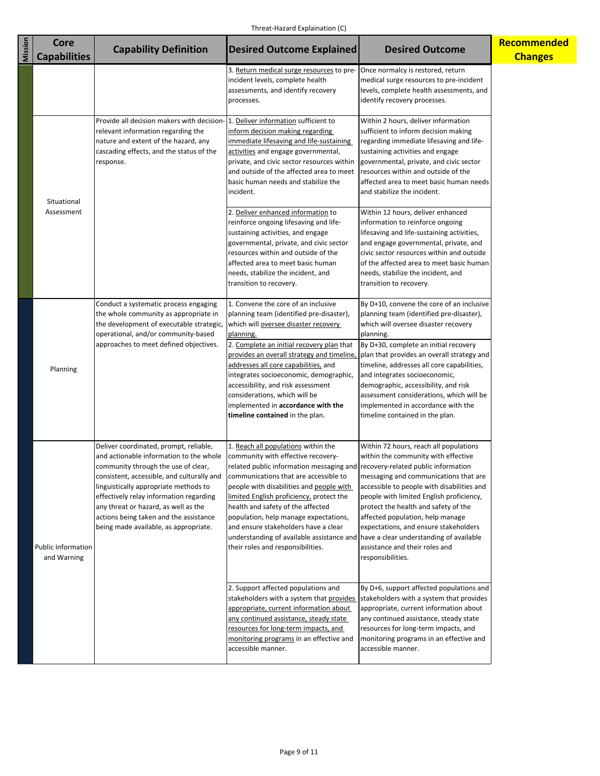| Mission | <b>Core</b><br><b>Capabilities</b>                                                                                                                                                                                                                  | <b>Capability Definition</b>                                                                                                                                                                                                                                                                                                                                                          | <b>Desired Outcome Explained</b>                                                                                                                                                                                                                                                                                                                                                                                                                                  | <b>Desired Outcome</b>                                                                                                                                                                                                                                                                                                                                                                                                                                                         | Recommended<br><b>Changes</b> |
|---------|-----------------------------------------------------------------------------------------------------------------------------------------------------------------------------------------------------------------------------------------------------|---------------------------------------------------------------------------------------------------------------------------------------------------------------------------------------------------------------------------------------------------------------------------------------------------------------------------------------------------------------------------------------|-------------------------------------------------------------------------------------------------------------------------------------------------------------------------------------------------------------------------------------------------------------------------------------------------------------------------------------------------------------------------------------------------------------------------------------------------------------------|--------------------------------------------------------------------------------------------------------------------------------------------------------------------------------------------------------------------------------------------------------------------------------------------------------------------------------------------------------------------------------------------------------------------------------------------------------------------------------|-------------------------------|
|         |                                                                                                                                                                                                                                                     |                                                                                                                                                                                                                                                                                                                                                                                       | 3. Return medical surge resources to pre-<br>incident levels, complete health<br>assessments, and identify recovery<br>processes.                                                                                                                                                                                                                                                                                                                                 | Once normalcy is restored, return<br>medical surge resources to pre-incident<br>levels, complete health assessments, and<br>identify recovery processes.                                                                                                                                                                                                                                                                                                                       |                               |
|         | Provide all decision makers with decision- 1. Deliver information sufficient to<br>relevant information regarding the<br>nature and extent of the hazard, any<br>cascading effects, and the status of the<br>response.<br>Situational<br>Assessment | inform decision making regarding<br>immediate lifesaving and life-sustaining<br>activities and engage governmental,<br>private, and civic sector resources within<br>and outside of the affected area to meet<br>basic human needs and stabilize the<br>incident.<br>2. Deliver enhanced information to                                                                               | Within 2 hours, deliver information<br>sufficient to inform decision making<br>regarding immediate lifesaving and life-<br>sustaining activities and engage<br>governmental, private, and civic sector<br>resources within and outside of the<br>affected area to meet basic human needs<br>and stabilize the incident.<br>Within 12 hours, deliver enhanced                                                                                                      |                                                                                                                                                                                                                                                                                                                                                                                                                                                                                |                               |
|         |                                                                                                                                                                                                                                                     |                                                                                                                                                                                                                                                                                                                                                                                       | reinforce ongoing lifesaving and life-<br>sustaining activities, and engage<br>governmental, private, and civic sector<br>resources within and outside of the<br>affected area to meet basic human<br>needs, stabilize the incident, and<br>transition to recovery.                                                                                                                                                                                               | information to reinforce ongoing<br>lifesaving and life-sustaining activities,<br>and engage governmental, private, and<br>civic sector resources within and outside<br>of the affected area to meet basic human<br>needs, stabilize the incident, and<br>transition to recovery.                                                                                                                                                                                              |                               |
|         | Planning                                                                                                                                                                                                                                            | Conduct a systematic process engaging<br>the whole community as appropriate in<br>the development of executable strategic,<br>operational, and/or community-based<br>approaches to meet defined objectives.                                                                                                                                                                           | 1. Convene the core of an inclusive<br>planning team (identified pre-disaster),<br>which will oversee disaster recovery<br>planning.<br>2. Complete an initial recovery plan that<br>provides an overall strategy and timeline,<br>addresses all core capabilities, and<br>integrates socioeconomic, demographic,<br>accessibility, and risk assessment<br>considerations, which will be<br>implemented in accordance with the<br>timeline contained in the plan. | By D+10, convene the core of an inclusive<br>planning team (identified pre-disaster),<br>which will oversee disaster recovery<br>planning.<br>By D+30, complete an initial recovery<br>plan that provides an overall strategy and<br>timeline, addresses all core capabilities,<br>and integrates socioeconomic,<br>demographic, accessibility, and risk<br>assessment considerations, which will be<br>implemented in accordance with the<br>timeline contained in the plan.  |                               |
|         | <b>Public Information</b><br>and Warning                                                                                                                                                                                                            | Deliver coordinated, prompt, reliable,<br>and actionable information to the whole<br>community through the use of clear,<br>consistent, accessible, and culturally and<br>linguistically appropriate methods to<br>effectively relay information regarding<br>any threat or hazard, as well as the<br>actions being taken and the assistance<br>being made available, as appropriate. | 1. Reach all populations within the<br>community with effective recovery-<br>related public information messaging and<br>communications that are accessible to<br>people with disabilities and people with<br>limited English proficiency, protect the<br>health and safety of the affected<br>population, help manage expectations,<br>and ensure stakeholders have a clear<br>understanding of available assistance and<br>their roles and responsibilities.    | Within 72 hours, reach all populations<br>within the community with effective<br>recovery-related public information<br>messaging and communications that are<br>accessible to people with disabilities and<br>people with limited English proficiency,<br>protect the health and safety of the<br>affected population, help manage<br>expectations, and ensure stakeholders<br>have a clear understanding of available<br>assistance and their roles and<br>responsibilities. |                               |
|         |                                                                                                                                                                                                                                                     |                                                                                                                                                                                                                                                                                                                                                                                       | 2. Support affected populations and<br>stakeholders with a system that provides<br>appropriate, current information about<br>any continued assistance, steady state<br>resources for long-term impacts, and<br>monitoring programs in an effective and<br>accessible manner.                                                                                                                                                                                      | By D+6, support affected populations and<br>stakeholders with a system that provides<br>appropriate, current information about<br>any continued assistance, steady state<br>resources for long-term impacts, and<br>monitoring programs in an effective and<br>accessible manner.                                                                                                                                                                                              |                               |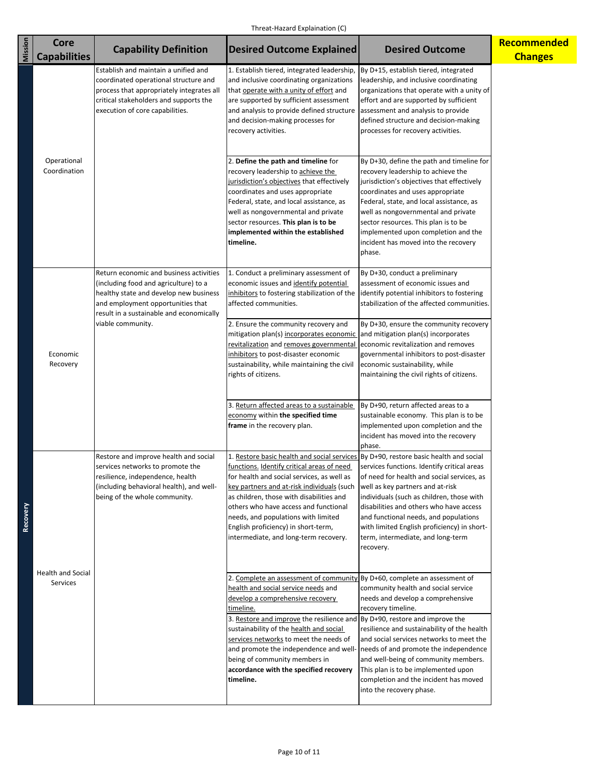| Mission  | <b>Core</b><br><b>Capabilities</b>        | <b>Capability Definition</b>                                                                                                                                                                                                                                                                                                              | <b>Desired Outcome Explained</b>                                                                                                                                                                                                                                                                                                                                                                                                                                                                             | <b>Desired Outcome</b>                                                                                                                                                                                                                                                                                                                                          | Recommended<br><b>Changes</b> |
|----------|-------------------------------------------|-------------------------------------------------------------------------------------------------------------------------------------------------------------------------------------------------------------------------------------------------------------------------------------------------------------------------------------------|--------------------------------------------------------------------------------------------------------------------------------------------------------------------------------------------------------------------------------------------------------------------------------------------------------------------------------------------------------------------------------------------------------------------------------------------------------------------------------------------------------------|-----------------------------------------------------------------------------------------------------------------------------------------------------------------------------------------------------------------------------------------------------------------------------------------------------------------------------------------------------------------|-------------------------------|
|          |                                           | Establish and maintain a unified and<br>coordinated operational structure and<br>process that appropriately integrates all<br>critical stakeholders and supports the<br>execution of core capabilities.                                                                                                                                   | 1. Establish tiered, integrated leadership,<br>and inclusive coordinating organizations<br>that operate with a unity of effort and<br>are supported by sufficient assessment<br>and analysis to provide defined structure<br>and decision-making processes for<br>recovery activities.                                                                                                                                                                                                                       | By D+15, establish tiered, integrated<br>leadership, and inclusive coordinating<br>organizations that operate with a unity of<br>effort and are supported by sufficient<br>assessment and analysis to provide<br>defined structure and decision-making<br>processes for recovery activities.                                                                    |                               |
| Recovery | Operational<br>Coordination               | 2. Define the path and timeline for<br>recovery leadership to achieve the<br>jurisdiction's objectives that effectively<br>coordinates and uses appropriate<br>Federal, state, and local assistance, as<br>well as nongovernmental and private<br>sector resources. This plan is to be<br>implemented within the established<br>timeline. | By D+30, define the path and timeline for<br>recovery leadership to achieve the<br>jurisdiction's objectives that effectively<br>coordinates and uses appropriate<br>Federal, state, and local assistance, as<br>well as nongovernmental and private<br>sector resources. This plan is to be<br>implemented upon completion and the<br>incident has moved into the recovery<br>phase.                                                                                                                        |                                                                                                                                                                                                                                                                                                                                                                 |                               |
|          |                                           | Return economic and business activities<br>(including food and agriculture) to a<br>healthy state and develop new business<br>and employment opportunities that<br>result in a sustainable and economically                                                                                                                               | 1. Conduct a preliminary assessment of<br>economic issues and identify potential<br>inhibitors to fostering stabilization of the<br>affected communities.                                                                                                                                                                                                                                                                                                                                                    | By D+30, conduct a preliminary<br>assessment of economic issues and<br>identify potential inhibitors to fostering<br>stabilization of the affected communities.                                                                                                                                                                                                 |                               |
|          | viable community.<br>Economic<br>Recovery | 2. Ensure the community recovery and<br>mitigation plan(s) incorporates economic<br>revitalization and removes governmental economic revitalization and removes<br>inhibitors to post-disaster economic<br>sustainability, while maintaining the civil<br>rights of citizens.                                                             | By D+30, ensure the community recovery<br>and mitigation plan(s) incorporates<br>governmental inhibitors to post-disaster<br>economic sustainability, while<br>maintaining the civil rights of citizens.                                                                                                                                                                                                                                                                                                     |                                                                                                                                                                                                                                                                                                                                                                 |                               |
|          |                                           |                                                                                                                                                                                                                                                                                                                                           | 3. Return affected areas to a sustainable<br>economy within the specified time<br>frame in the recovery plan.                                                                                                                                                                                                                                                                                                                                                                                                | By D+90, return affected areas to a<br>sustainable economy. This plan is to be<br>implemented upon completion and the<br>incident has moved into the recovery<br>phase.                                                                                                                                                                                         |                               |
|          |                                           | Restore and improve health and social<br>services networks to promote the<br>resilience, independence, health<br>(including behavioral health), and well-<br>being of the whole community.                                                                                                                                                | 1. Restore basic health and social services By D+90, restore basic health and social<br>functions. Identify critical areas of need<br>for health and social services, as well as<br>key partners and at-risk individuals (such<br>as children, those with disabilities and<br>others who have access and functional<br>needs, and populations with limited<br>English proficiency) in short-term,<br>intermediate, and long-term recovery.                                                                   | services functions. Identify critical areas<br>of need for health and social services, as<br>well as key partners and at-risk<br>individuals (such as children, those with<br>disabilities and others who have access<br>and functional needs, and populations<br>with limited English proficiency) in short-<br>term, intermediate, and long-term<br>recovery. |                               |
|          | <b>Health and Social</b><br>Services      |                                                                                                                                                                                                                                                                                                                                           | 2. Complete an assessment of community By D+60, complete an assessment of<br>health and social service needs and<br>develop a comprehensive recovery<br>timeline.<br>3. Restore and improve the resilience and By D+90, restore and improve the<br>sustainability of the health and social<br>services networks to meet the needs of<br>and promote the independence and well- needs of and promote the independence<br>being of community members in<br>accordance with the specified recovery<br>timeline. | community health and social service<br>needs and develop a comprehensive<br>recovery timeline.<br>resilience and sustainability of the health<br>and social services networks to meet the<br>and well-being of community members.<br>This plan is to be implemented upon<br>completion and the incident has moved<br>into the recovery phase.                   |                               |